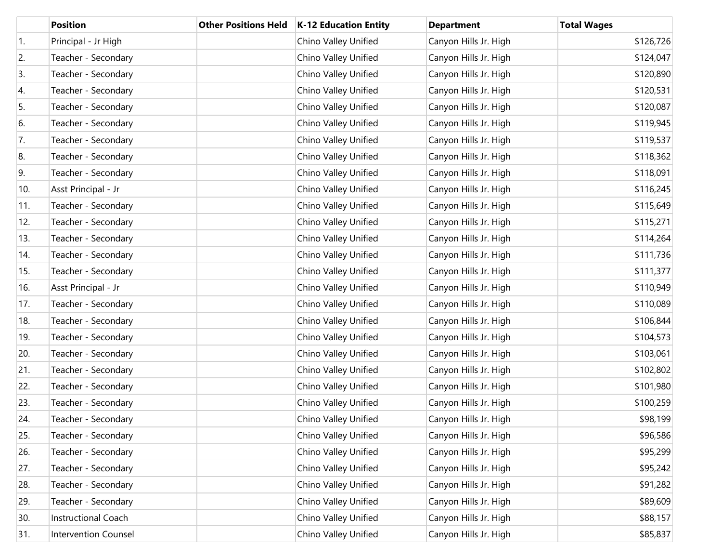|            | <b>Position</b>             | <b>Other Positions Held</b> | K-12 Education Entity | <b>Department</b>     | <b>Total Wages</b> |
|------------|-----------------------------|-----------------------------|-----------------------|-----------------------|--------------------|
| $\vert$ 1. | Principal - Jr High         |                             | Chino Valley Unified  | Canyon Hills Jr. High | \$126,726          |
| 2.         | Teacher - Secondary         |                             | Chino Valley Unified  | Canyon Hills Jr. High | \$124,047          |
| 3.         | Teacher - Secondary         |                             | Chino Valley Unified  | Canyon Hills Jr. High | \$120,890          |
| 4.         | Teacher - Secondary         |                             | Chino Valley Unified  | Canyon Hills Jr. High | \$120,531          |
| 5.         | Teacher - Secondary         |                             | Chino Valley Unified  | Canyon Hills Jr. High | \$120,087          |
| 6.         | Teacher - Secondary         |                             | Chino Valley Unified  | Canyon Hills Jr. High | \$119,945          |
| 7.         | Teacher - Secondary         |                             | Chino Valley Unified  | Canyon Hills Jr. High | \$119,537          |
| 8.         | Teacher - Secondary         |                             | Chino Valley Unified  | Canyon Hills Jr. High | \$118,362          |
| 9.         | Teacher - Secondary         |                             | Chino Valley Unified  | Canyon Hills Jr. High | \$118,091          |
| 10.        | Asst Principal - Jr         |                             | Chino Valley Unified  | Canyon Hills Jr. High | \$116,245          |
| 11.        | Teacher - Secondary         |                             | Chino Valley Unified  | Canyon Hills Jr. High | \$115,649          |
| 12.        | Teacher - Secondary         |                             | Chino Valley Unified  | Canyon Hills Jr. High | \$115,271          |
| 13.        | Teacher - Secondary         |                             | Chino Valley Unified  | Canyon Hills Jr. High | \$114,264          |
| 14.        | Teacher - Secondary         |                             | Chino Valley Unified  | Canyon Hills Jr. High | \$111,736          |
| 15.        | Teacher - Secondary         |                             | Chino Valley Unified  | Canyon Hills Jr. High | \$111,377          |
| 16.        | Asst Principal - Jr         |                             | Chino Valley Unified  | Canyon Hills Jr. High | \$110,949          |
| 17.        | Teacher - Secondary         |                             | Chino Valley Unified  | Canyon Hills Jr. High | \$110,089          |
| 18.        | Teacher - Secondary         |                             | Chino Valley Unified  | Canyon Hills Jr. High | \$106,844          |
| 19.        | Teacher - Secondary         |                             | Chino Valley Unified  | Canyon Hills Jr. High | \$104,573          |
| 20.        | Teacher - Secondary         |                             | Chino Valley Unified  | Canyon Hills Jr. High | \$103,061          |
| 21.        | Teacher - Secondary         |                             | Chino Valley Unified  | Canyon Hills Jr. High | \$102,802          |
| 22.        | Teacher - Secondary         |                             | Chino Valley Unified  | Canyon Hills Jr. High | \$101,980          |
| 23.        | Teacher - Secondary         |                             | Chino Valley Unified  | Canyon Hills Jr. High | \$100,259          |
| 24.        | Teacher - Secondary         |                             | Chino Valley Unified  | Canyon Hills Jr. High | \$98,199           |
| 25.        | Teacher - Secondary         |                             | Chino Valley Unified  | Canyon Hills Jr. High | \$96,586           |
| 26.        | Teacher - Secondary         |                             | Chino Valley Unified  | Canyon Hills Jr. High | \$95,299           |
| 27.        | Teacher - Secondary         |                             | Chino Valley Unified  | Canyon Hills Jr. High | \$95,242           |
| 28.        | Teacher - Secondary         |                             | Chino Valley Unified  | Canyon Hills Jr. High | \$91,282           |
| 29.        | Teacher - Secondary         |                             | Chino Valley Unified  | Canyon Hills Jr. High | \$89,609           |
| 30.        | Instructional Coach         |                             | Chino Valley Unified  | Canyon Hills Jr. High | \$88,157           |
| 31.        | <b>Intervention Counsel</b> |                             | Chino Valley Unified  | Canyon Hills Jr. High | \$85,837           |